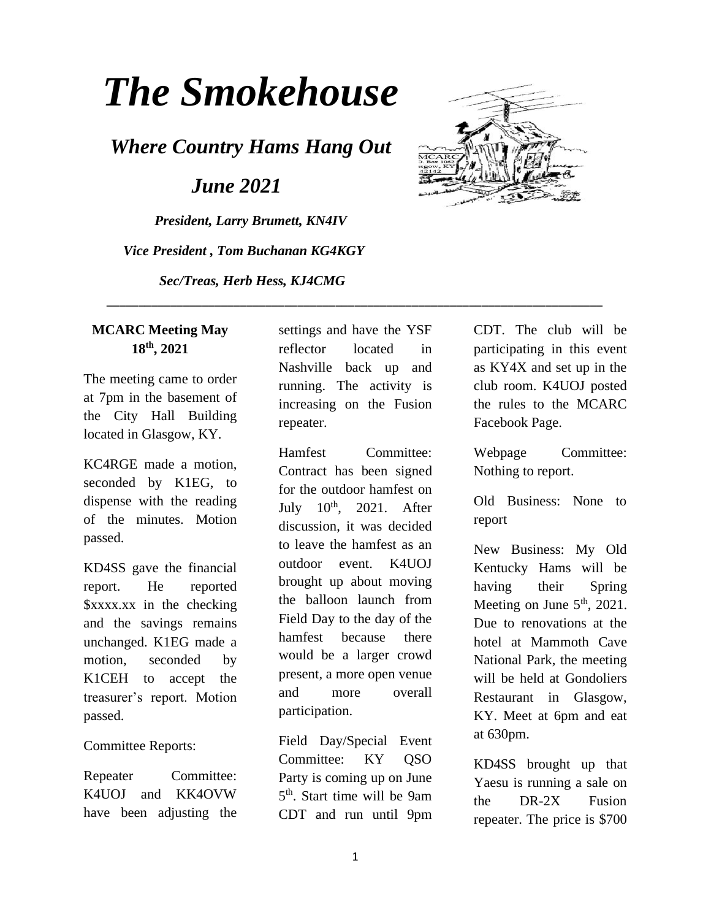# *The Smokehouse*

*Where Country Hams Hang Out*

 *June 2021*

*President, Larry Brumett, KN4IV Vice President , Tom Buchanan KG4KGY Sec/Treas, Herb Hess, KJ4CMG*



#### **MCARC Meeting May 18th, 2021**

The meeting came to order at 7pm in the basement of the City Hall Building located in Glasgow, KY.

KC4RGE made a motion, seconded by K1EG, to dispense with the reading of the minutes. Motion passed.

KD4SS gave the financial report. He reported \$xxxx.xx in the checking and the savings remains unchanged. K1EG made a motion, seconded by K1CEH to accept the treasurer's report. Motion passed.

#### Committee Reports:

Repeater Committee: K4UOJ and KK4OVW have been adjusting the

settings and have the YSF reflector located in Nashville back up and running. The activity is increasing on the Fusion repeater.

\_\_\_\_\_\_\_\_\_\_\_\_\_\_\_\_\_\_\_\_\_\_\_\_\_\_\_\_\_\_\_\_\_\_\_\_\_\_\_\_\_\_\_\_\_\_\_\_\_\_\_\_\_\_\_\_\_\_\_\_\_\_\_\_\_\_\_\_\_\_\_\_\_\_\_\_\_\_

Hamfest Committee: Contract has been signed for the outdoor hamfest on July  $10^{th}$ ,  $2021$ . After discussion, it was decided to leave the hamfest as an outdoor event. K4UOJ brought up about moving the balloon launch from Field Day to the day of the hamfest because there would be a larger crowd present, a more open venue and more overall participation.

Field Day/Special Event Committee: KY QSO Party is coming up on June 5 th. Start time will be 9am CDT and run until 9pm CDT. The club will be participating in this event as KY4X and set up in the club room. K4UOJ posted the rules to the MCARC Facebook Page.

Webpage Committee: Nothing to report.

Old Business: None to report

New Business: My Old Kentucky Hams will be having their Spring Meeting on June  $5<sup>th</sup>$ , 2021. Due to renovations at the hotel at Mammoth Cave National Park, the meeting will be held at Gondoliers Restaurant in Glasgow, KY. Meet at 6pm and eat at 630pm.

KD4SS brought up that Yaesu is running a sale on the DR-2X Fusion repeater. The price is \$700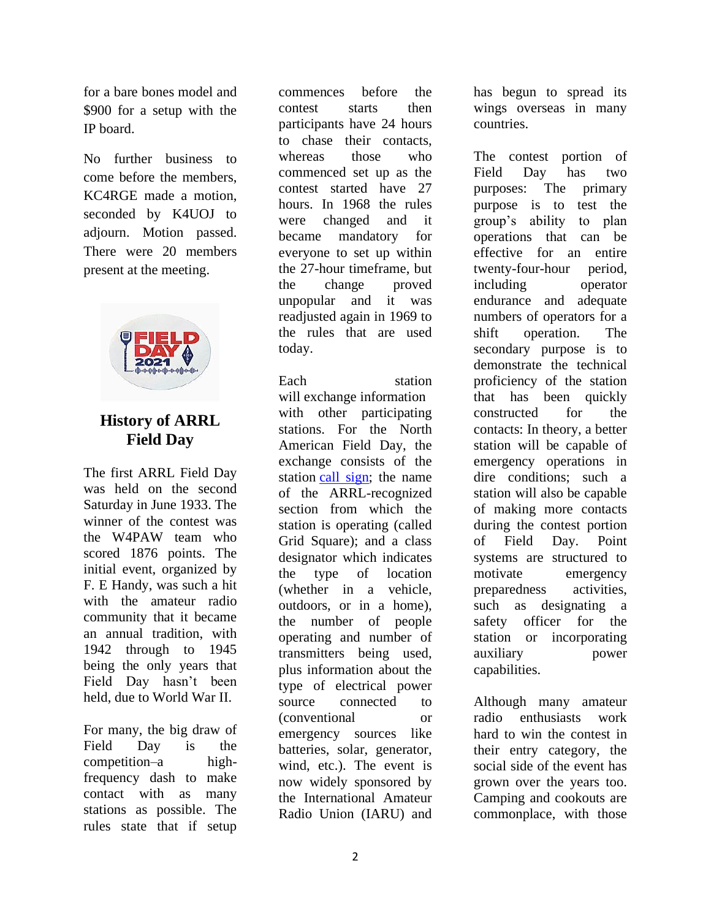for a bare bones model and \$900 for a setup with the IP board.

No further business to come before the members, KC4RGE made a motion, seconded by K4UOJ to adjourn. Motion passed. There were 20 members present at the meeting.



## **History of ARRL Field Day**

The first ARRL Field Day was held on the second Saturday in June 1933. The winner of the contest was the W4PAW team who scored 1876 points. The initial event, organized by F. E Handy, was such a hit with the amateur radio community that it became an annual tradition, with 1942 through to 1945 being the only years that Field Day hasn't been held, due to World War II.

For many, the big draw of Field Day is the competition–a highfrequency dash to make contact with as many stations as possible. The rules state that if setup

commences before the contest starts then participants have 24 hours to chase their contacts, whereas those who commenced set up as the contest started have 27 hours. In 1968 the rules were changed and it became mandatory for everyone to set up within the 27-hour timeframe, but the change proved unpopular and it was readjusted again in 1969 to the rules that are used today.

Each station will exchange information with other participating stations. For the North American Field Day, the exchange consists of the station [call sign;](https://en.wikipedia.org/wiki/Call_sign) the name of the ARRL-recognized section from which the station is operating (called Grid Square); and a class designator which indicates the type of location (whether in a vehicle, outdoors, or in a home), the number of people operating and number of transmitters being used, plus information about the type of electrical power source connected to (conventional or emergency sources like batteries, solar, generator, wind, etc.). The event is now widely sponsored by the International Amateur Radio Union (IARU) and

has begun to spread its wings overseas in many countries.

The contest portion of Field Day has two purposes: The primary purpose is to test the group's ability to plan operations that can be effective for an entire twenty-four-hour period, including operator endurance and adequate numbers of operators for a shift operation. The secondary purpose is to demonstrate the technical proficiency of the station that has been quickly constructed for the contacts: In theory, a better station will be capable of emergency operations in dire conditions; such a station will also be capable of making more contacts during the contest portion of Field Day. Point systems are structured to motivate emergency preparedness activities, such as designating a safety officer for the station or incorporating auxiliary power capabilities.

Although many amateur radio enthusiasts work hard to win the contest in their entry category, the social side of the event has grown over the years too. Camping and cookouts are commonplace, with those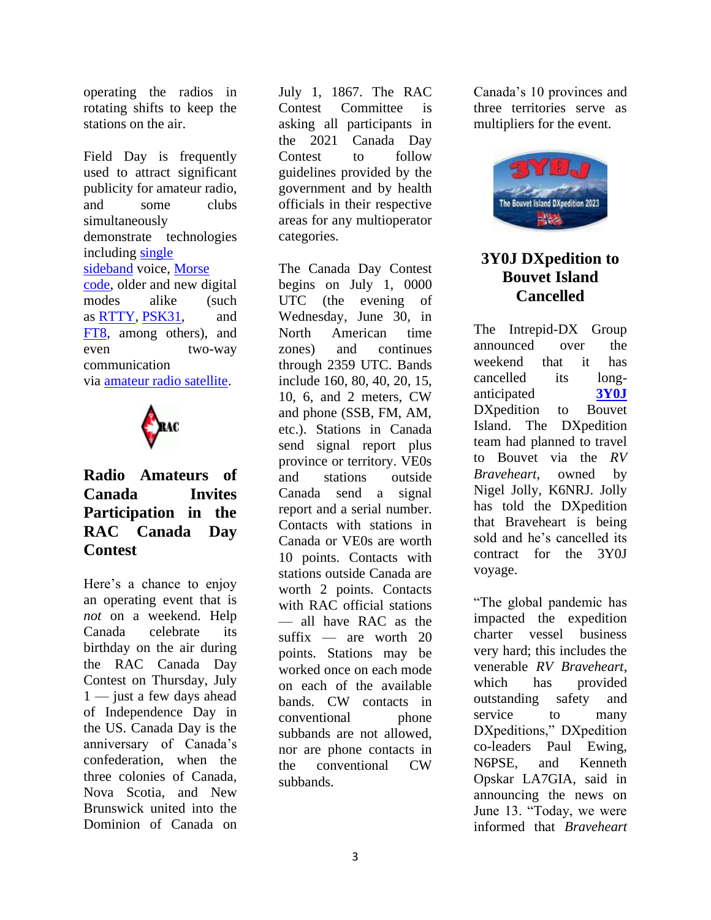operating the radios in rotating shifts to keep the stations on the air.

Field Day is frequently used to attract significant publicity for amateur radio, and some clubs simultaneously demonstrate technologies including [single](https://en.wikipedia.org/wiki/Single_sideband)  [sideband](https://en.wikipedia.org/wiki/Single_sideband) voice, [Morse](https://en.wikipedia.org/wiki/Morse_code)  [code,](https://en.wikipedia.org/wiki/Morse_code) older and new digital modes alike (such as [RTTY,](https://en.wikipedia.org/wiki/RTTY) [PSK31,](https://en.wikipedia.org/wiki/PSK31) and [FT8,](https://en.wikipedia.org/wiki/WSJT_(amateur_radio_software)#FT8) among others), and even two-way communication via [amateur radio satellite.](https://en.wikipedia.org/wiki/Amateur_radio_satellite)



#### **Radio Amateurs of Canada Invites Participation in the RAC Canada Day Contest**

Here's a chance to enjoy an operating event that is *not* on a weekend. Help Canada celebrate its birthday on the air during the RAC Canada Day Contest on Thursday, July 1 — just a few days ahead of Independence Day in the US. Canada Day is the anniversary of Canada's confederation, when the three colonies of Canada, Nova Scotia, and New Brunswick united into the Dominion of Canada on

July 1, 1867. The RAC Contest Committee is asking all participants in the 2021 Canada Day Contest to follow guidelines provided by the government and by health officials in their respective areas for any multioperator categories.

The Canada Day Contest begins on July 1, 0000 UTC (the evening of Wednesday, June 30, in North American time zones) and continues through 2359 UTC. Bands include 160, 80, 40, 20, 15, 10, 6, and 2 meters, CW and phone (SSB, FM, AM, etc.). Stations in Canada send signal report plus province or territory. VE0s and stations outside Canada send a signal report and a serial number. Contacts with stations in Canada or VE0s are worth 10 points. Contacts with stations outside Canada are worth 2 points. Contacts with RAC official stations — all have RAC as the suffix — are worth 20 points. Stations may be worked once on each mode on each of the available bands. CW contacts in conventional phone subbands are not allowed, nor are phone contacts in the conventional CW subbands.

Canada's 10 provinces and three territories serve as multipliers for the event.



#### **3Y0J DXpedition to Bouvet Island Cancelled**

The Intrepid-DX Group announced over the weekend that it has cancelled its longanticipated **[3Y0J](https://3y0j.com/)** DXpedition to Bouvet Island. The DXpedition team had planned to travel to Bouvet via the *RV Braveheart*, owned by Nigel Jolly, K6NRJ. Jolly has told the DXpedition that Braveheart is being sold and he's cancelled its contract for the 3Y0J voyage.

"The global pandemic has impacted the expedition charter vessel business very hard; this includes the venerable *RV Braveheart*, which has provided outstanding safety and service to many DXpeditions," DXpedition co-leaders Paul Ewing, N6PSE, and Kenneth Opskar LA7GIA, said in announcing the news on June 13. "Today, we were informed that *Braveheart*